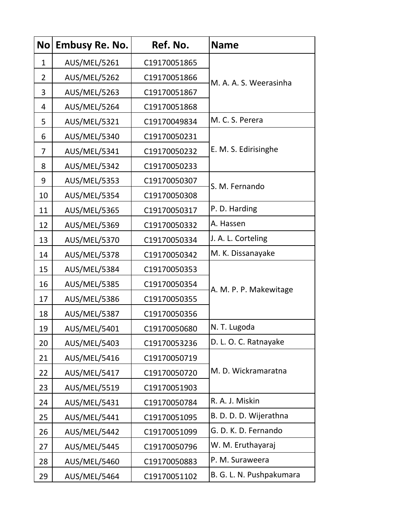| <b>No</b>      | <b>Embusy Re. No.</b> | Ref. No.     | <b>Name</b>              |
|----------------|-----------------------|--------------|--------------------------|
| $\mathbf{1}$   | AUS/MEL/5261          | C19170051865 | M. A. A. S. Weerasinha   |
| $\overline{2}$ | <b>AUS/MEL/5262</b>   | C19170051866 |                          |
| 3              | <b>AUS/MEL/5263</b>   | C19170051867 |                          |
| 4              | AUS/MEL/5264          | C19170051868 |                          |
| 5              | AUS/MEL/5321          | C19170049834 | M. C. S. Perera          |
| 6              | AUS/MEL/5340          | C19170050231 | E. M. S. Edirisinghe     |
| 7              | AUS/MEL/5341          | C19170050232 |                          |
| 8              | AUS/MEL/5342          | C19170050233 |                          |
| 9              | <b>AUS/MEL/5353</b>   | C19170050307 | S. M. Fernando           |
| 10             | <b>AUS/MEL/5354</b>   | C19170050308 |                          |
| 11             | <b>AUS/MEL/5365</b>   | C19170050317 | P. D. Harding            |
| 12             | AUS/MEL/5369          | C19170050332 | A. Hassen                |
| 13             | AUS/MEL/5370          | C19170050334 | J. A. L. Corteling       |
| 14             | <b>AUS/MEL/5378</b>   | C19170050342 | M. K. Dissanayake        |
| 15             | <b>AUS/MEL/5384</b>   | C19170050353 | A. M. P. P. Makewitage   |
| 16             | <b>AUS/MEL/5385</b>   | C19170050354 |                          |
| 17             | <b>AUS/MEL/5386</b>   | C19170050355 |                          |
| 18             | AUS/MEL/5387          | C19170050356 |                          |
| 19             | <b>AUS/MEL/5401</b>   | C19170050680 | N. T. Lugoda             |
| 20             | AUS/MEL/5403          | C19170053236 | D. L. O. C. Ratnayake    |
| 21             | AUS/MEL/5416          | C19170050719 | M. D. Wickramaratna      |
| 22             | AUS/MEL/5417          | C19170050720 |                          |
| 23             | <b>AUS/MEL/5519</b>   | C19170051903 |                          |
| 24             | AUS/MEL/5431          | C19170050784 | R. A. J. Miskin          |
| 25             | <b>AUS/MEL/5441</b>   | C19170051095 | B. D. D. D. Wijerathna   |
| 26             | AUS/MEL/5442          | C19170051099 | G. D. K. D. Fernando     |
| 27             | <b>AUS/MEL/5445</b>   | C19170050796 | W. M. Eruthayaraj        |
| 28             | AUS/MEL/5460          | C19170050883 | P. M. Suraweera          |
| 29             | AUS/MEL/5464          | C19170051102 | B. G. L. N. Pushpakumara |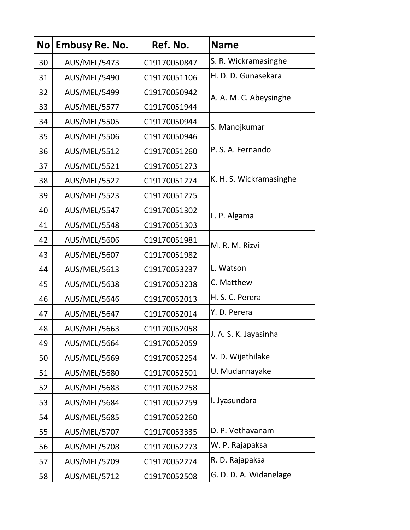| <b>No</b> | <b>Embusy Re. No.</b> | Ref. No.     | <b>Name</b>             |
|-----------|-----------------------|--------------|-------------------------|
| 30        | AUS/MEL/5473          | C19170050847 | S. R. Wickramasinghe    |
| 31        | AUS/MEL/5490          | C19170051106 | H. D. D. Gunasekara     |
| 32        | <b>AUS/MEL/5499</b>   | C19170050942 | A. A. M. C. Abeysinghe  |
| 33        | AUS/MEL/5577          | C19170051944 |                         |
| 34        | <b>AUS/MEL/5505</b>   | C19170050944 | S. Manojkumar           |
| 35        | <b>AUS/MEL/5506</b>   | C19170050946 |                         |
| 36        | <b>AUS/MEL/5512</b>   | C19170051260 | P. S. A. Fernando       |
| 37        | AUS/MEL/5521          | C19170051273 | K. H. S. Wickramasinghe |
| 38        | AUS/MEL/5522          | C19170051274 |                         |
| 39        | <b>AUS/MEL/5523</b>   | C19170051275 |                         |
| 40        | <b>AUS/MEL/5547</b>   | C19170051302 | L. P. Algama            |
| 41        | <b>AUS/MEL/5548</b>   | C19170051303 |                         |
| 42        | AUS/MEL/5606          | C19170051981 | M. R. M. Rizvi          |
| 43        | <b>AUS/MEL/5607</b>   | C19170051982 |                         |
| 44        | AUS/MEL/5613          | C19170053237 | L. Watson               |
| 45        | <b>AUS/MEL/5638</b>   | C19170053238 | C. Matthew              |
| 46        | AUS/MEL/5646          | C19170052013 | H. S. C. Perera         |
| 47        | AUS/MEL/5647          | C19170052014 | Y. D. Perera            |
| 48        | <b>AUS/MEL/5663</b>   | C19170052058 | J. A. S. K. Jayasinha   |
| 49        | AUS/MEL/5664          | C19170052059 |                         |
| 50        | AUS/MEL/5669          | C19170052254 | V. D. Wijethilake       |
| 51        | AUS/MEL/5680          | C19170052501 | U. Mudannayake          |
| 52        | <b>AUS/MEL/5683</b>   | C19170052258 | I. Jyasundara           |
| 53        | AUS/MEL/5684          | C19170052259 |                         |
| 54        | <b>AUS/MEL/5685</b>   | C19170052260 |                         |
| 55        | <b>AUS/MEL/5707</b>   | C19170053335 | D. P. Vethavanam        |
| 56        | <b>AUS/MEL/5708</b>   | C19170052273 | W. P. Rajapaksa         |
| 57        | AUS/MEL/5709          | C19170052274 | R. D. Rajapaksa         |
| 58        | <b>AUS/MEL/5712</b>   | C19170052508 | G. D. D. A. Widanelage  |